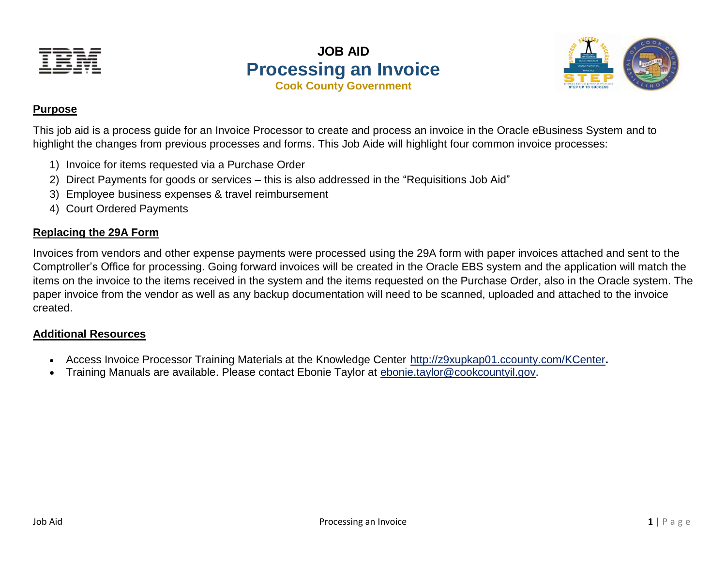

**JOB AID Processing an Invoice Cook County Government**



### **Purpose**

This job aid is a process guide for an Invoice Processor to create and process an invoice in the Oracle eBusiness System and to highlight the changes from previous processes and forms. This Job Aide will highlight four common invoice processes:

- 1) Invoice for items requested via a Purchase Order
- 2) Direct Payments for goods or services this is also addressed in the "Requisitions Job Aid"
- 3) Employee business expenses & travel reimbursement
- 4) Court Ordered Payments

## **Replacing the 29A Form**

Invoices from vendors and other expense payments were processed using the 29A form with paper invoices attached and sent to the Comptroller's Office for processing. Going forward invoices will be created in the Oracle EBS system and the application will match the items on the invoice to the items received in the system and the items requested on the Purchase Order, also in the Oracle system. The paper invoice from the vendor as well as any backup documentation will need to be scanned, uploaded and attached to the invoice created.

### **Additional Resources**

- Access Invoice Processor Training Materials at the Knowledge Center <http://z9xupkap01.ccounty.com/KCenter>**.**
- Training Manuals are available. Please contact Ebonie Taylor at [ebonie.taylor@cookcountyil.gov.](mailto:ebonie.taylor@cookcountyil.gov)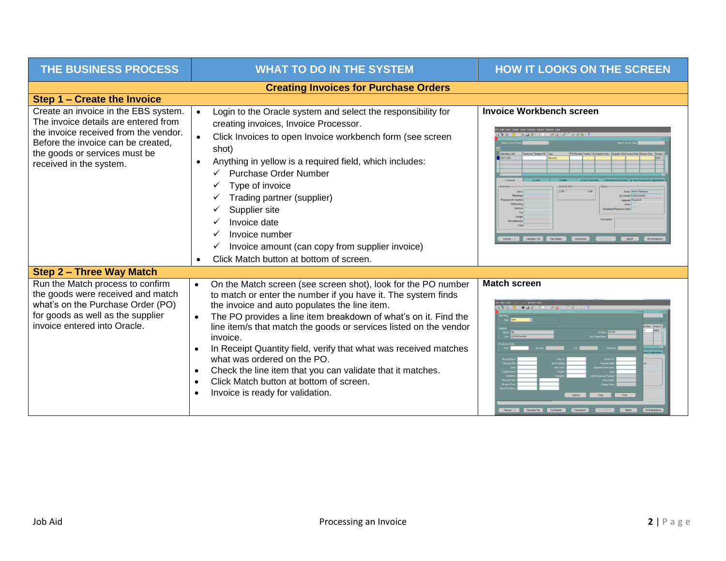| THE BUSINESS PROCESS                                                                                                                                                                                                    | <b>WHAT TO DO IN THE SYSTEM</b>                                                                                                                                                                                                                                                                                                                                                                                                                                                                                                                                                                  | <b>HOW IT LOOKS ON THE SCREEN</b>                                                                                               |  |  |
|-------------------------------------------------------------------------------------------------------------------------------------------------------------------------------------------------------------------------|--------------------------------------------------------------------------------------------------------------------------------------------------------------------------------------------------------------------------------------------------------------------------------------------------------------------------------------------------------------------------------------------------------------------------------------------------------------------------------------------------------------------------------------------------------------------------------------------------|---------------------------------------------------------------------------------------------------------------------------------|--|--|
| <b>Creating Invoices for Purchase Orders</b>                                                                                                                                                                            |                                                                                                                                                                                                                                                                                                                                                                                                                                                                                                                                                                                                  |                                                                                                                                 |  |  |
| Step 1 - Create the Invoice                                                                                                                                                                                             |                                                                                                                                                                                                                                                                                                                                                                                                                                                                                                                                                                                                  |                                                                                                                                 |  |  |
| Create an invoice in the EBS system.<br>The invoice details are entered from<br>the invoice received from the vendor.<br>Before the invoice can be created,<br>the goods or services must be<br>received in the system. | Login to the Oracle system and select the responsibility for<br>$\bullet$<br>creating invoices, Invoice Processor.<br>Click Invoices to open Invoice workbench form (see screen<br>shot)<br>Anything in yellow is a required field, which includes:<br><b>Purchase Order Number</b><br>Type of invoice<br>Trading partner (supplier)<br>Supplier site<br>Invoice date<br>Invoice number<br>✓<br>Invoice amount (can copy from supplier invoice)<br>Click Match button at bottom of screen.                                                                                                       | <b>Invoice Workbench screen</b><br><b>Batch Actual Total</b><br>Actions 1 Calculate Tax Tax Details<br>Match<br>Conections      |  |  |
| <b>Step 2 - Three Way Match</b>                                                                                                                                                                                         |                                                                                                                                                                                                                                                                                                                                                                                                                                                                                                                                                                                                  |                                                                                                                                 |  |  |
| Run the Match process to confirm<br>the goods were received and match<br>what's on the Purchase Order (PO)<br>for goods as well as the supplier<br>invoice entered into Oracle.                                         | On the Match screen (see screen shot), look for the PO number<br>$\bullet$<br>to match or enter the number if you have it. The system finds<br>the invoice and auto populates the line item.<br>The PO provides a line item breakdown of what's on it. Find the<br>line item/s that match the goods or services listed on the vendor<br>invoice.<br>In Receipt Quantity field, verify that what was received matches<br>what was ordered on the PO.<br>Check the line item that you can validate that it matches.<br>Click Match button at bottom of screen.<br>Invoice is ready for validation. | <b>Match screen</b><br>.<br>Supplier I<br>Conta<br>Receipt C<br>Find<br>Actions 1<br>Match<br>All Distribution<br>Calculate Tax |  |  |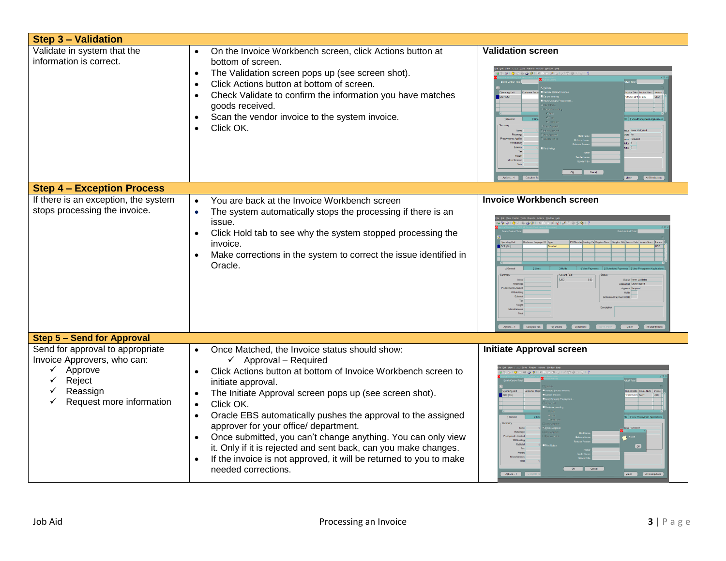| <b>Step 3 - Validation</b>                                                                                                                        |                                                                                                                                                                                                                                                                                                                                                                                                                                                                                                                                                                                                                     |                                                                                                  |
|---------------------------------------------------------------------------------------------------------------------------------------------------|---------------------------------------------------------------------------------------------------------------------------------------------------------------------------------------------------------------------------------------------------------------------------------------------------------------------------------------------------------------------------------------------------------------------------------------------------------------------------------------------------------------------------------------------------------------------------------------------------------------------|--------------------------------------------------------------------------------------------------|
| Validate in system that the<br>information is correct.                                                                                            | On the Invoice Workbench screen, click Actions button at<br>bottom of screen.<br>The Validation screen pops up (see screen shot).<br>$\bullet$<br>Click Actions button at bottom of screen.<br>$\bullet$<br>Check Validate to confirm the information you have matches<br>$\bullet$<br>goods received.<br>Scan the vendor invoice to the system invoice.<br>$\bullet$<br>Click OK.                                                                                                                                                                                                                                  | <b>Validation screen</b><br>OK Cancel<br>Actions 1 Calculate T                                   |
| <b>Step 4 - Exception Process</b>                                                                                                                 |                                                                                                                                                                                                                                                                                                                                                                                                                                                                                                                                                                                                                     |                                                                                                  |
| If there is an exception, the system<br>stops processing the invoice.                                                                             | You are back at the Invoice Workbench screen<br>$\bullet$<br>The system automatically stops the processing if there is an<br>$\bullet$<br>issue.<br>Click Hold tab to see why the system stopped processing the<br>$\bullet$<br>invoice.<br>Make corrections in the system to correct the issue identified in<br>Oracle.                                                                                                                                                                                                                                                                                            | <b>Invoice Workbench screen</b><br>Actions 1 Calculate Tax Tag Details Corrections<br>Match      |
| <b>Step 5 - Send for Approval</b>                                                                                                                 |                                                                                                                                                                                                                                                                                                                                                                                                                                                                                                                                                                                                                     |                                                                                                  |
| Send for approval to appropriate<br>Invoice Approvers, who can:<br>Approve<br>$\checkmark$<br>Reject<br>✓<br>Reassign<br>Request more information | Once Matched, the Invoice status should show:<br>$\checkmark$ Approval – Required<br>Click Actions button at bottom of Invoice Workbench screen to<br>initiate approval.<br>The Initiate Approval screen pops up (see screen shot).<br>Click OK.<br>$\bullet$<br>Oracle EBS automatically pushes the approval to the assigned<br>$\bullet$<br>approver for your office/ department.<br>Once submitted, you can't change anything. You can only view<br>it. Only if it is rejected and sent back, can you make changes.<br>If the invoice is not approved, it will be returned to you to make<br>needed corrections. | <b>Initiate Approval screen</b><br>$\alpha$<br>OK Cancel<br>Actions $1 -$<br>Match All Distribut |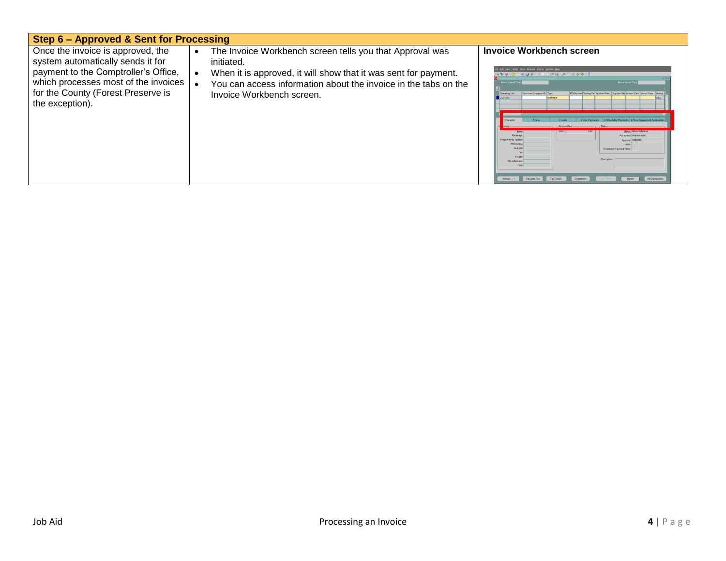| Step 6 - Approved & Sent for Processing                                                                                                                                                                         |                                                                                                                                                                                                                                           |                                                                                                                                                                                                                                                                                                                                                                                                                                                    |  |  |
|-----------------------------------------------------------------------------------------------------------------------------------------------------------------------------------------------------------------|-------------------------------------------------------------------------------------------------------------------------------------------------------------------------------------------------------------------------------------------|----------------------------------------------------------------------------------------------------------------------------------------------------------------------------------------------------------------------------------------------------------------------------------------------------------------------------------------------------------------------------------------------------------------------------------------------------|--|--|
| Once the invoice is approved, the<br>system automatically sends it for<br>payment to the Comptroller's Office,<br>which processes most of the invoices<br>for the County (Forest Preserve is<br>the exception). | The Invoice Workbench screen tells you that Approval was<br>initiated.<br>When it is approved, it will show that it was sent for payment.<br>You can access information about the invoice in the tabs on the<br>Invoice Workbench screen. | Invoice Workbench screen<br>400 0 3 3 3 9 3 6 9 8 9 8 3 3 3 4 5 6 7 7<br><b>Batch Actual To</b><br><b>Batch Control T</b><br>Customer Taxpayer ID Type<br>PO Number Trading Pa Supplier Num Supplier Site Invoice Date<br>Operating Uni<br>5 Scheduled Payments 6 View Prepayment Application<br>Status Newer Valid<br>Retainao<br><b>Accounted Unprocesse</b><br><b>Ichaduled Payment Hold</b><br>Descriptio<br>Miscellaneou<br>All Distributions |  |  |